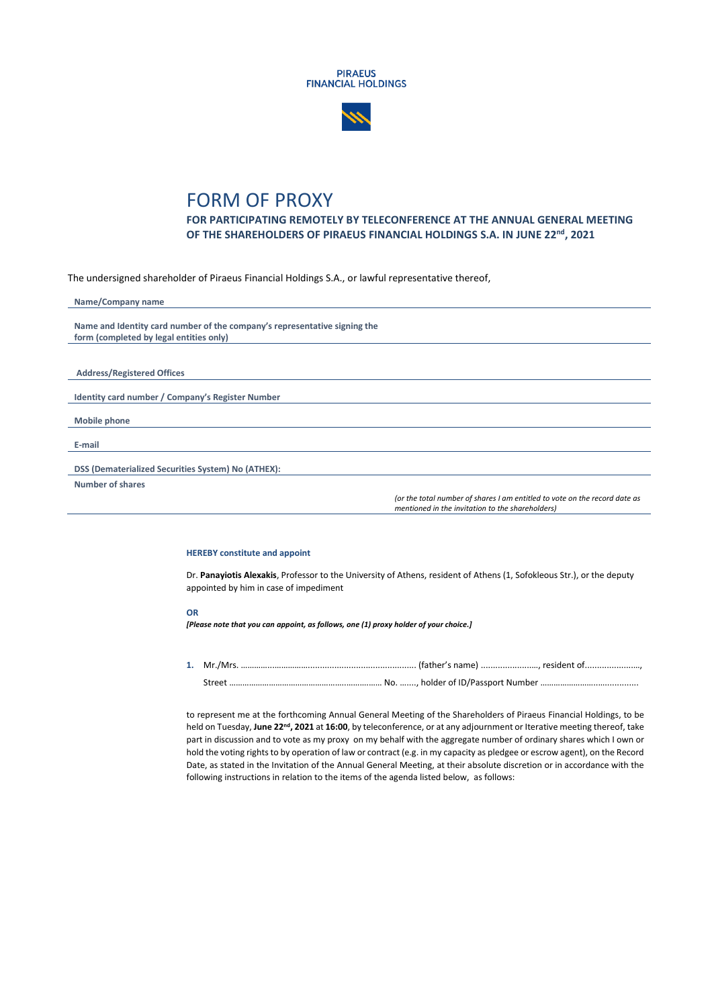



## FORM OF PROXY

**FOR PARTICIPATING REMOTELY BY TELECONFERENCE AT THE ANNUAL GENERAL MEETING OF THE SHAREHOLDERS OF PIRAEUS FINANCIAL HOLDINGS S.A. IN JUNE 22 nd, 2021**

The undersigned shareholder of Piraeus Financial Holdings S.A., or lawful representative thereof,

| Name/Company name                                                                                                              |
|--------------------------------------------------------------------------------------------------------------------------------|
|                                                                                                                                |
| Name and Identity card number of the company's representative signing the                                                      |
| form (completed by legal entities only)                                                                                        |
|                                                                                                                                |
|                                                                                                                                |
| <b>Address/Registered Offices</b>                                                                                              |
|                                                                                                                                |
| Identity card number / Company's Register Number                                                                               |
|                                                                                                                                |
| <b>Mobile phone</b>                                                                                                            |
|                                                                                                                                |
| E-mail                                                                                                                         |
|                                                                                                                                |
| DSS (Dematerialized Securities System) No (ATHEX):                                                                             |
| Number of shares                                                                                                               |
| (or the total number of shares I am entitled to vote on the record date as<br>mentioned in the invitation to the shareholders) |

## **HEREBY constitute and appoint**

Dr. **Panayiotis Alexakis**, Professor to the University of Athens, resident of Athens (1, Sofokleous Str.), or the deputy appointed by him in case of impediment

## **OR**

*[Please note that you can appoint, as follows, one (1) proxy holder of your choice.]*

**1.** Mr./Mrs. …………...……………............................................. (father's name) .....................…, resident of....................…, Street ……………………………………………..……….…… No. …...., holder of ID/Passport Number ……………………..…..............

to represent me at the forthcoming Annual General Meeting of the Shareholders of Piraeus Financial Holdings, to be held on Tuesday, June 22<sup>nd</sup>, 2021 at 16:00, by teleconference, or at any adjournment or Iterative meeting thereof, take part in discussion and to vote as my proxy on my behalf with the aggregate number of ordinary shares which I own or hold the voting rights to by operation of law or contract (e.g. in my capacity as pledgee or escrow agent), on the Record Date, as stated in the Invitation of the Annual General Meeting, at their absolute discretion or in accordance with the following instructions in relation to the items of the agenda listed below, as follows: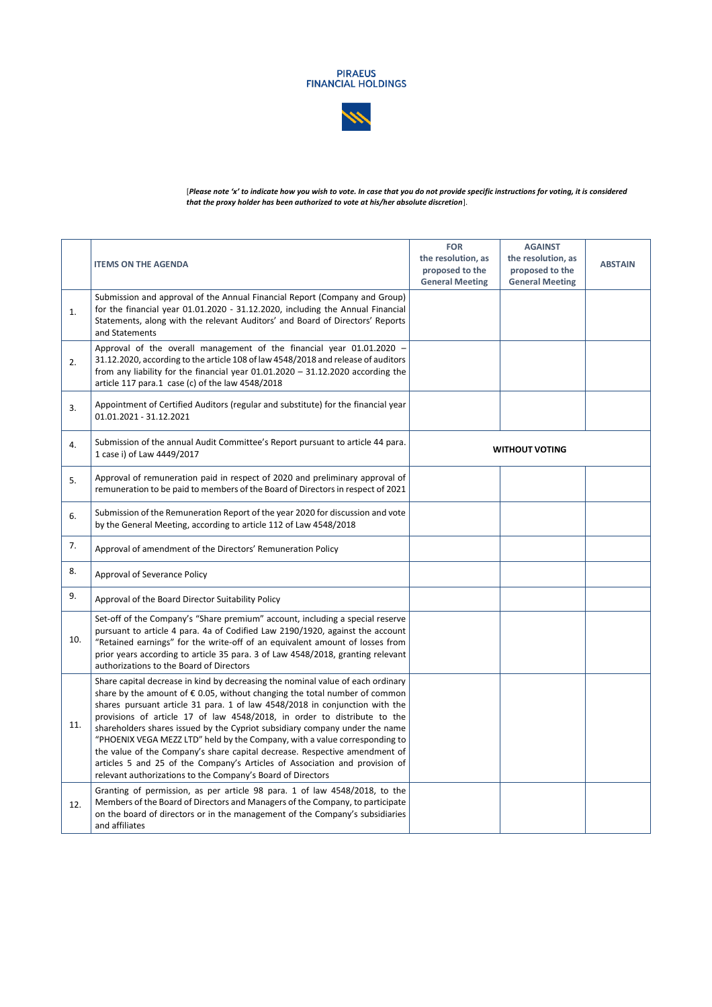



[*Please note 'x' to indicate how you wish to vote. In case that you do not provide specific instructions for voting, it is considered that the proxy holder has been authorized to vote at his/her absolute discretion*].

|     | <b>ITEMS ON THE AGENDA</b>                                                                                                                                                                                                                                                                                                                                                                                                                                                                                                                                                                                                                                                                                                 | <b>FOR</b><br>the resolution, as<br>proposed to the<br><b>General Meeting</b> | <b>AGAINST</b><br>the resolution, as<br>proposed to the<br><b>General Meeting</b> | <b>ABSTAIN</b> |
|-----|----------------------------------------------------------------------------------------------------------------------------------------------------------------------------------------------------------------------------------------------------------------------------------------------------------------------------------------------------------------------------------------------------------------------------------------------------------------------------------------------------------------------------------------------------------------------------------------------------------------------------------------------------------------------------------------------------------------------------|-------------------------------------------------------------------------------|-----------------------------------------------------------------------------------|----------------|
| 1.  | Submission and approval of the Annual Financial Report (Company and Group)<br>for the financial year 01.01.2020 - 31.12.2020, including the Annual Financial<br>Statements, along with the relevant Auditors' and Board of Directors' Reports<br>and Statements                                                                                                                                                                                                                                                                                                                                                                                                                                                            |                                                                               |                                                                                   |                |
| 2.  | Approval of the overall management of the financial year 01.01.2020 -<br>31.12.2020, according to the article 108 of law 4548/2018 and release of auditors<br>from any liability for the financial year $01.01.2020 - 31.12.2020$ according the<br>article 117 para.1 case (c) of the law 4548/2018                                                                                                                                                                                                                                                                                                                                                                                                                        |                                                                               |                                                                                   |                |
| 3.  | Appointment of Certified Auditors (regular and substitute) for the financial year<br>01.01.2021 - 31.12.2021                                                                                                                                                                                                                                                                                                                                                                                                                                                                                                                                                                                                               |                                                                               |                                                                                   |                |
| 4.  | Submission of the annual Audit Committee's Report pursuant to article 44 para.<br>1 case i) of Law 4449/2017                                                                                                                                                                                                                                                                                                                                                                                                                                                                                                                                                                                                               | <b>WITHOUT VOTING</b>                                                         |                                                                                   |                |
| 5.  | Approval of remuneration paid in respect of 2020 and preliminary approval of<br>remuneration to be paid to members of the Board of Directors in respect of 2021                                                                                                                                                                                                                                                                                                                                                                                                                                                                                                                                                            |                                                                               |                                                                                   |                |
| 6.  | Submission of the Remuneration Report of the year 2020 for discussion and vote<br>by the General Meeting, according to article 112 of Law 4548/2018                                                                                                                                                                                                                                                                                                                                                                                                                                                                                                                                                                        |                                                                               |                                                                                   |                |
| 7.  | Approval of amendment of the Directors' Remuneration Policy                                                                                                                                                                                                                                                                                                                                                                                                                                                                                                                                                                                                                                                                |                                                                               |                                                                                   |                |
| 8.  | Approval of Severance Policy                                                                                                                                                                                                                                                                                                                                                                                                                                                                                                                                                                                                                                                                                               |                                                                               |                                                                                   |                |
| 9.  | Approval of the Board Director Suitability Policy                                                                                                                                                                                                                                                                                                                                                                                                                                                                                                                                                                                                                                                                          |                                                                               |                                                                                   |                |
| 10. | Set-off of the Company's "Share premium" account, including a special reserve<br>pursuant to article 4 para. 4a of Codified Law 2190/1920, against the account<br>"Retained earnings" for the write-off of an equivalent amount of losses from<br>prior years according to article 35 para. 3 of Law 4548/2018, granting relevant<br>authorizations to the Board of Directors                                                                                                                                                                                                                                                                                                                                              |                                                                               |                                                                                   |                |
| 11. | Share capital decrease in kind by decreasing the nominal value of each ordinary<br>share by the amount of $\epsilon$ 0.05, without changing the total number of common<br>shares pursuant article 31 para. 1 of law 4548/2018 in conjunction with the<br>provisions of article 17 of law 4548/2018, in order to distribute to the<br>shareholders shares issued by the Cypriot subsidiary company under the name<br>"PHOENIX VEGA MEZZ LTD" held by the Company, with a value corresponding to<br>the value of the Company's share capital decrease. Respective amendment of<br>articles 5 and 25 of the Company's Articles of Association and provision of<br>relevant authorizations to the Company's Board of Directors |                                                                               |                                                                                   |                |
| 12. | Granting of permission, as per article 98 para. 1 of law 4548/2018, to the<br>Members of the Board of Directors and Managers of the Company, to participate<br>on the board of directors or in the management of the Company's subsidiaries<br>and affiliates                                                                                                                                                                                                                                                                                                                                                                                                                                                              |                                                                               |                                                                                   |                |